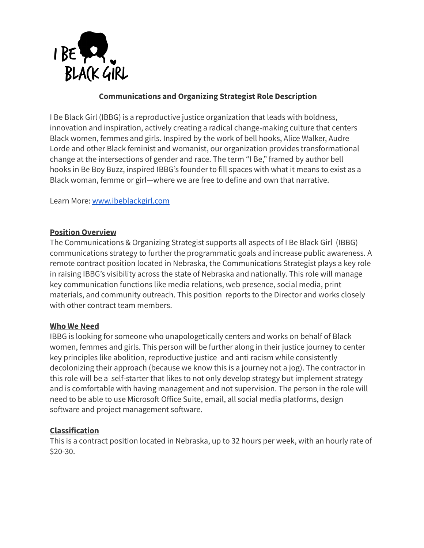

# **Communications and Organizing Strategist Role Description**

I Be Black Girl (IBBG) is a reproductive justice organization that leads with boldness, innovation and inspiration, actively creating a radical change-making culture that centers Black women, femmes and girls. Inspired by the work of bell hooks, Alice Walker, Audre Lorde and other Black feminist and womanist, our organization provides transformational change at the intersections of gender and race. The term "I Be," framed by author bell hooks in Be Boy Buzz, inspired IBBG's founder to fill spaces with what it means to exist as a Black woman, femme or girl—where we are free to define and own that narrative.

Learn More: [www.ibeblackgirl.com](http://www.ibeblackgirl.com)

### **Position Overview**

The Communications & Organizing Strategist supports all aspects of I Be Black Girl (IBBG) communications strategy to further the programmatic goals and increase public awareness. A remote contract position located in Nebraska, the Communications Strategist plays a key role in raising IBBG's visibility across the state of Nebraska and nationally. This role will manage key communication functions like media relations, web presence, social media, print materials, and community outreach. This position reports to the Director and works closely with other contract team members.

### **Who We Need**

IBBG is looking for someone who unapologetically centers and works on behalf of Black women, femmes and girls. This person will be further along in their justice journey to center key principles like abolition, reproductive justice and anti racism while consistently decolonizing their approach (because we know this is a journey not a jog). The contractor in this role will be a self-starter that likes to not only develop strategy but implement strategy and is comfortable with having management and not supervision. The person in the role will need to be able to use Microsoft Office Suite, email, all social media platforms, design software and project management software.

### **Classification**

This is a contract position located in Nebraska, up to 32 hours per week, with an hourly rate of \$20-30.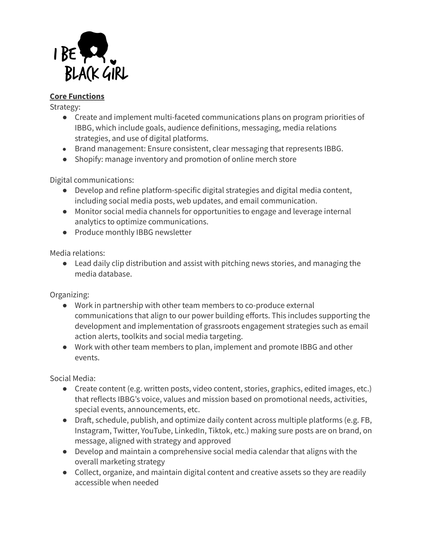

# **Core Functions**

Strategy:

- Create and implement multi-faceted communications plans on program priorities of IBBG, which include goals, audience definitions, messaging, media relations strategies, and use of digital platforms.
- Brand management: Ensure consistent, clear messaging that represents IBBG.
- Shopify: manage inventory and promotion of online merch store

Digital communications:

- Develop and refine platform-specific digital strategies and digital media content, including social media posts, web updates, and email communication.
- Monitor social media channels for opportunities to engage and leverage internal analytics to optimize communications.
- Produce monthly IBBG newsletter

Media relations:

● Lead daily clip distribution and assist with pitching news stories, and managing the media database.

Organizing:

- Work in partnership with other team members to co-produce external communications that align to our power building efforts. This includes supporting the development and implementation of grassroots engagement strategies such as email action alerts, toolkits and social media targeting.
- Work with other team members to plan, implement and promote IBBG and other events.

Social Media:

- Create content (e.g. written posts, video content, stories, graphics, edited images, etc.) that reflects IBBG's voice, values and mission based on promotional needs, activities, special events, announcements, etc.
- Draft, schedule, publish, and optimize daily content across multiple platforms (e.g. FB, Instagram, Twitter, YouTube, LinkedIn, Tiktok, etc.) making sure posts are on brand, on message, aligned with strategy and approved
- Develop and maintain a comprehensive social media calendar that aligns with the overall marketing strategy
- Collect, organize, and maintain digital content and creative assets so they are readily accessible when needed